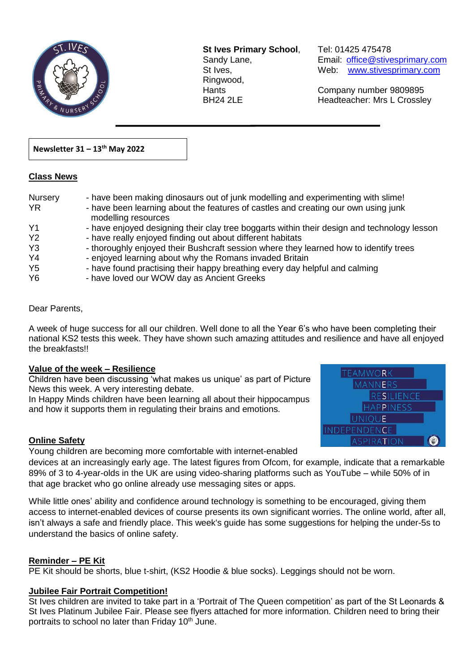

**St Ives Primary School**, Tel: 01425 475478 Ringwood,

Sandy Lane, Email: office@stivesprimary.com St Ives, [www.stivesprimary.com](http://www.stives.dorset.sch.uk/)

Hants Company number 9809895 BH24 2LE Headteacher: Mrs L Crossley

### **Newsletter 31 – 13th May 2022**

### **Class News**

| Nursery<br><b>YR</b> | - have been making dinosaurs out of junk modelling and experimenting with slime!<br>- have been learning about the features of castles and creating our own using junk<br>modelling resources |
|----------------------|-----------------------------------------------------------------------------------------------------------------------------------------------------------------------------------------------|
| Y <sub>1</sub>       | - have enjoyed designing their clay tree boggarts within their design and technology lesson                                                                                                   |
| <b>Y2</b>            | - have really enjoyed finding out about different habitats                                                                                                                                    |
| Y <sub>3</sub>       | - thoroughly enjoyed their Bushcraft session where they learned how to identify trees                                                                                                         |
| Y <sub>4</sub>       | - enjoyed learning about why the Romans invaded Britain                                                                                                                                       |
| Y <sub>5</sub>       | - have found practising their happy breathing every day helpful and calming                                                                                                                   |
| Y <sub>6</sub>       | - have loved our WOW day as Ancient Greeks                                                                                                                                                    |

 $\overline{a}$ 

#### Dear Parents,

A week of huge success for all our children. Well done to all the Year 6's who have been completing their national KS2 tests this week. They have shown such amazing attitudes and resilience and have all enjoyed the breakfasts!!

### **Value of the week – Resilience**

Children have been discussing 'what makes us unique' as part of Picture News this week. A very interesting debate.

In Happy Minds children have been learning all about their hippocampus and how it supports them in regulating their brains and emotions.



### **Online Safety**

Young children are becoming more comfortable with internet-enabled

devices at an increasingly early age. The latest figures from Ofcom, for example, indicate that a remarkable 89% of 3 to 4-year-olds in the UK are using video-sharing platforms such as YouTube – while 50% of in that age bracket who go online already use messaging sites or apps.

While little ones' ability and confidence around technology is something to be encouraged, giving them access to internet-enabled devices of course presents its own significant worries. The online world, after all, isn't always a safe and friendly place. This week's guide has some suggestions for helping the under-5s to understand the basics of online safety.

### **Reminder – PE Kit**

PE Kit should be shorts, blue t-shirt, (KS2 Hoodie & blue socks). Leggings should not be worn.

### **Jubilee Fair Portrait Competition!**

St Ives children are invited to take part in a 'Portrait of The Queen competition' as part of the St Leonards & St Ives Platinum Jubilee Fair. Please see flyers attached for more information. Children need to bring their portraits to school no later than Friday  $10<sup>th</sup>$  June.